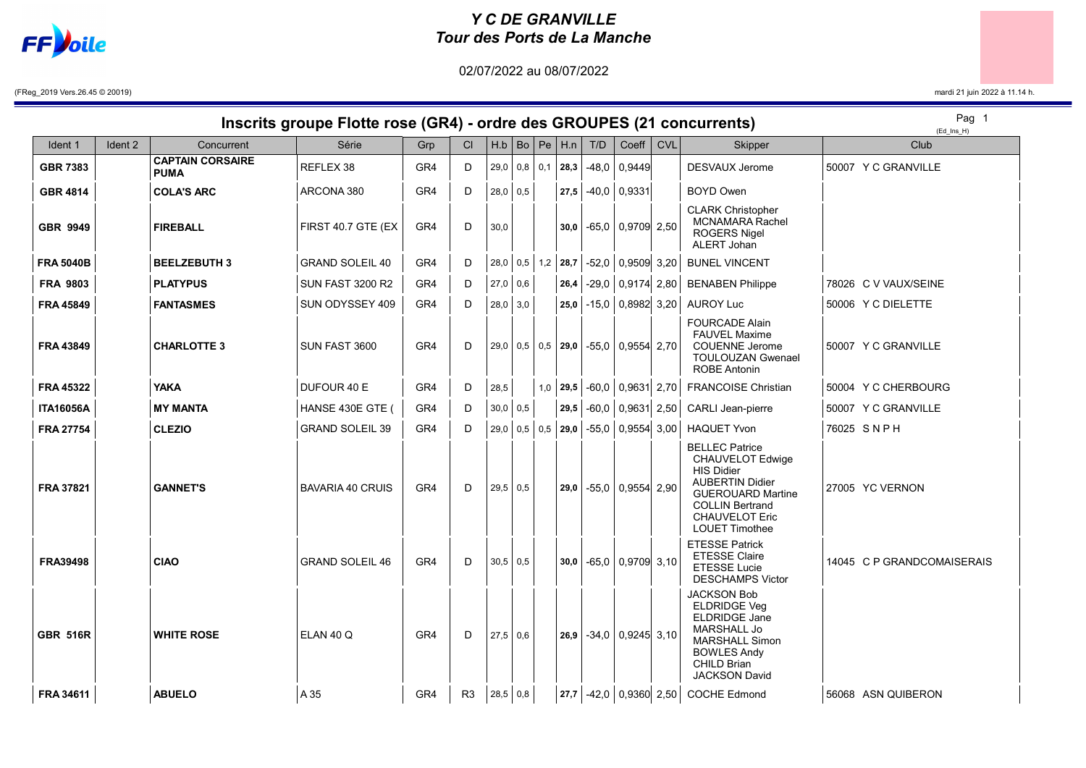

## Y C DE GRANVILLE Tour des Ports de La Manche

02/07/2022 au 08/07/2022

(FReg\_2019 Vers.26.45 © 20019) mardi 21 juin 2022 à 11.14 h.

## Inscrits groupe Flotte rose (GR4) - ordre des GROUPES (21 concurrents)

Pag 1

| Ident 1          | Ident 2 | Concurrent                             | Série                   | Grp | CI | H.b             |  | $ Bo $ Pe $  H.n  $            | T/D | Coeff                 | <b>CVL</b> | Skipper                                                                                                                                                                                          |                      | $1 - 4 - 11 - 11$<br>Club  |
|------------------|---------|----------------------------------------|-------------------------|-----|----|-----------------|--|--------------------------------|-----|-----------------------|------------|--------------------------------------------------------------------------------------------------------------------------------------------------------------------------------------------------|----------------------|----------------------------|
| <b>GBR 7383</b>  |         | <b>CAPTAIN CORSAIRE</b><br><b>PUMA</b> | REFLEX 38               | GR4 | D  |                 |  | 29,0   0,8   0,1   <b>28,3</b> |     | $-48,0$ 0,9449        |            | <b>DESVAUX Jerome</b>                                                                                                                                                                            | 50007 Y C GRANVILLE  |                            |
| <b>GBR 4814</b>  |         | <b>COLA'S ARC</b>                      | ARCONA 380              | GR4 | D  | $28,0$ 0.5      |  | 27,5                           |     | $-40,0$ 0,9331        |            | <b>BOYD Owen</b>                                                                                                                                                                                 |                      |                            |
| <b>GBR 9949</b>  |         | <b>FIREBALL</b>                        | FIRST 40.7 GTE (EX      | GR4 | D  | 30,0            |  | 30,0                           |     | $-65,0$ 0,9709 2,50   |            | <b>CLARK Christopher</b><br><b>MCNAMARA Rachel</b><br><b>ROGERS Nigel</b><br>ALERT Johan                                                                                                         |                      |                            |
| <b>FRA 5040B</b> |         | <b>BEELZEBUTH 3</b>                    | <b>GRAND SOLEIL 40</b>  | GR4 | D  |                 |  | 28,0 0,5 1,2 <b>28,7</b>       |     | $-52,0$ 0,9509 3,20   |            | <b>BUNEL VINCENT</b>                                                                                                                                                                             |                      |                            |
| <b>FRA 9803</b>  |         | <b>PLATYPUS</b>                        | <b>SUN FAST 3200 R2</b> | GR4 | D  | $27,0$ 0.6      |  | 26,4                           |     | $-29,0$ 0,9174 2,80   |            | <b>BENABEN Philippe</b>                                                                                                                                                                          | 78026 C V VAUX/SEINE |                            |
| <b>FRA 45849</b> |         | <b>FANTASMES</b>                       | SUN ODYSSEY 409         | GR4 | D  | $28,0$ 3,0      |  | 25,0                           |     | $-15,0$ 0,8982 3,20   |            | <b>AUROY Luc</b>                                                                                                                                                                                 | 50006 Y C DIELETTE   |                            |
| <b>FRA 43849</b> |         | <b>CHARLOTTE 3</b>                     | SUN FAST 3600           | GR4 | D  |                 |  | 29.0   0.5   0.5   29.0        |     | $-55,0$ 0,9554 2,70   |            | <b>FOURCADE Alain</b><br><b>FAUVEL Maxime</b><br><b>COUENNE Jerome</b><br><b>TOULOUZAN Gwenael</b><br><b>ROBE Antonin</b>                                                                        | 50007 Y C GRANVILLE  |                            |
| <b>FRA 45322</b> |         | YAKA                                   | DUFOUR 40 E             | GR4 | D  | 28,5            |  | $1,0$ 29,5                     |     | $-60,0$ 0,9631 2,70   |            | <b>FRANCOISE Christian</b>                                                                                                                                                                       | 50004 Y C CHERBOURG  |                            |
| <b>ITA16056A</b> |         | <b>MY MANTA</b>                        | HANSE 430E GTE (        | GR4 | D  | $30,0$   0,5    |  | 29,5                           |     | $-60,0$ 0,9631 2,50   |            | <b>CARLI Jean-pierre</b>                                                                                                                                                                         | 50007 Y C GRANVILLE  |                            |
| <b>FRA 27754</b> |         | <b>CLEZIO</b>                          | <b>GRAND SOLEIL 39</b>  | GR4 | D  |                 |  | 29,0   0,5   0,5   29,0        |     | $-55,0$ 0,9554 3,00   |            | <b>HAQUET Yvon</b>                                                                                                                                                                               | 76025 SNPH           |                            |
| <b>FRA 37821</b> |         | <b>GANNET'S</b>                        | <b>BAVARIA 40 CRUIS</b> | GR4 | D  | $29,5$ 0.5      |  | 29,0                           |     | $-55,0$ 0,9554 2,90   |            | <b>BELLEC Patrice</b><br>CHAUVELOT Edwige<br><b>HIS Didier</b><br><b>AUBERTIN Didier</b><br><b>GUEROUARD Martine</b><br><b>COLLIN Bertrand</b><br><b>CHAUVELOT Eric</b><br><b>LOUET Timothee</b> | 27005 YC VERNON      |                            |
| <b>FRA39498</b>  |         | <b>CIAO</b>                            | <b>GRAND SOLEIL 46</b>  | GR4 | D  | $30,5$ 0.5      |  | 30.0                           |     | $-65,0$   0,9709 3,10 |            | <b>ETESSE Patrick</b><br><b>ETESSE Claire</b><br><b>ETESSE Lucie</b><br><b>DESCHAMPS Victor</b>                                                                                                  |                      | 14045 C P GRANDCOMAISERAIS |
| <b>GBR 516R</b>  |         | <b>WHITE ROSE</b>                      | ELAN 40 Q               | GR4 | D  | $27.5 \mid 0.6$ |  | 26,9                           |     | $-34,0$ 0,9245 3,10   |            | <b>JACKSON Bob</b><br><b>ELDRIDGE Veg</b><br><b>ELDRIDGE Jane</b><br><b>MARSHALL Jo</b><br><b>MARSHALL Simon</b><br><b>BOWLES Andy</b><br><b>CHILD Brian</b><br><b>JACKSON David</b>             |                      |                            |
| FRA 34611        |         | <b>ABUELO</b>                          | A 35                    | GR4 | R3 | 28,5   0,8      |  |                                |     |                       |            | 27,7 -42,0 0,9360 2,50 COCHE Edmond                                                                                                                                                              | 56068 ASN QUIBERON   |                            |